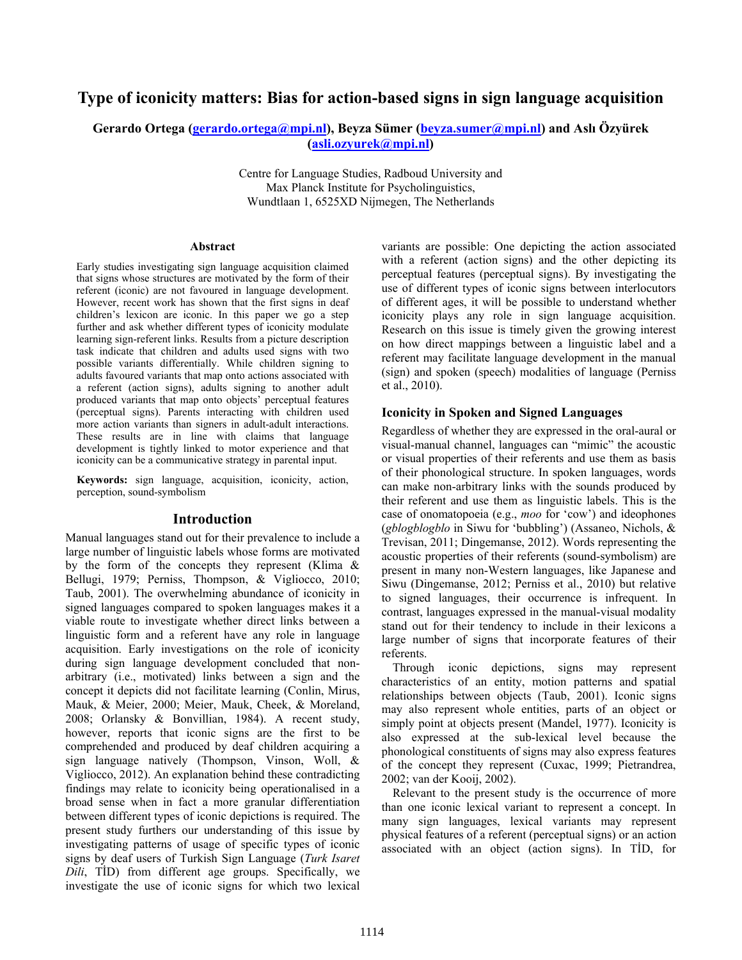# **Type of iconicity matters: Bias for action-based signs in sign language acquisition**

### **Gerardo Ortega (gerardo.ortega@mpi.nl), Beyza Sümer (beyza.sumer@mpi.nl) and Aslı Özyürek (asli.ozyurek@mpi.nl)**

Centre for Language Studies, Radboud University and Max Planck Institute for Psycholinguistics, Wundtlaan 1, 6525XD Nijmegen, The Netherlands

#### **Abstract**

Early studies investigating sign language acquisition claimed that signs whose structures are motivated by the form of their referent (iconic) are not favoured in language development. However, recent work has shown that the first signs in deaf children's lexicon are iconic. In this paper we go a step further and ask whether different types of iconicity modulate learning sign-referent links. Results from a picture description task indicate that children and adults used signs with two possible variants differentially. While children signing to adults favoured variants that map onto actions associated with a referent (action signs), adults signing to another adult produced variants that map onto objects' perceptual features (perceptual signs). Parents interacting with children used more action variants than signers in adult-adult interactions. These results are in line with claims that language development is tightly linked to motor experience and that iconicity can be a communicative strategy in parental input.

**Keywords:** sign language, acquisition, iconicity, action, perception, sound-symbolism

#### **Introduction**

Manual languages stand out for their prevalence to include a large number of linguistic labels whose forms are motivated by the form of the concepts they represent (Klima & Bellugi, 1979; Perniss, Thompson, & Vigliocco, 2010; Taub, 2001). The overwhelming abundance of iconicity in signed languages compared to spoken languages makes it a viable route to investigate whether direct links between a linguistic form and a referent have any role in language acquisition. Early investigations on the role of iconicity during sign language development concluded that nonarbitrary (i.e., motivated) links between a sign and the concept it depicts did not facilitate learning (Conlin, Mirus, Mauk, & Meier, 2000; Meier, Mauk, Cheek, & Moreland, 2008; Orlansky & Bonvillian, 1984). A recent study, however, reports that iconic signs are the first to be comprehended and produced by deaf children acquiring a sign language natively (Thompson, Vinson, Woll, & Vigliocco, 2012). An explanation behind these contradicting findings may relate to iconicity being operationalised in a broad sense when in fact a more granular differentiation between different types of iconic depictions is required. The present study furthers our understanding of this issue by investigating patterns of usage of specific types of iconic signs by deaf users of Turkish Sign Language (*Turk Isaret Dili*, TİD) from different age groups. Specifically, we investigate the use of iconic signs for which two lexical

variants are possible: One depicting the action associated with a referent (action signs) and the other depicting its perceptual features (perceptual signs). By investigating the use of different types of iconic signs between interlocutors of different ages, it will be possible to understand whether iconicity plays any role in sign language acquisition. Research on this issue is timely given the growing interest on how direct mappings between a linguistic label and a referent may facilitate language development in the manual (sign) and spoken (speech) modalities of language (Perniss et al., 2010).

### **Iconicity in Spoken and Signed Languages**

Regardless of whether they are expressed in the oral-aural or visual-manual channel, languages can "mimic" the acoustic or visual properties of their referents and use them as basis of their phonological structure. In spoken languages, words can make non-arbitrary links with the sounds produced by their referent and use them as linguistic labels. This is the case of onomatopoeia (e.g., *moo* for 'cow') and ideophones (*gblogblogblo* in Siwu for 'bubbling') (Assaneo, Nichols, & Trevisan, 2011; Dingemanse, 2012). Words representing the acoustic properties of their referents (sound-symbolism) are present in many non-Western languages, like Japanese and Siwu (Dingemanse, 2012; Perniss et al., 2010) but relative to signed languages, their occurrence is infrequent. In contrast, languages expressed in the manual-visual modality stand out for their tendency to include in their lexicons a large number of signs that incorporate features of their referents.

Through iconic depictions, signs may represent characteristics of an entity, motion patterns and spatial relationships between objects (Taub, 2001). Iconic signs may also represent whole entities, parts of an object or simply point at objects present (Mandel, 1977). Iconicity is also expressed at the sub-lexical level because the phonological constituents of signs may also express features of the concept they represent (Cuxac, 1999; Pietrandrea, 2002; van der Kooij, 2002).

Relevant to the present study is the occurrence of more than one iconic lexical variant to represent a concept. In many sign languages, lexical variants may represent physical features of a referent (perceptual signs) or an action associated with an object (action signs). In TİD, for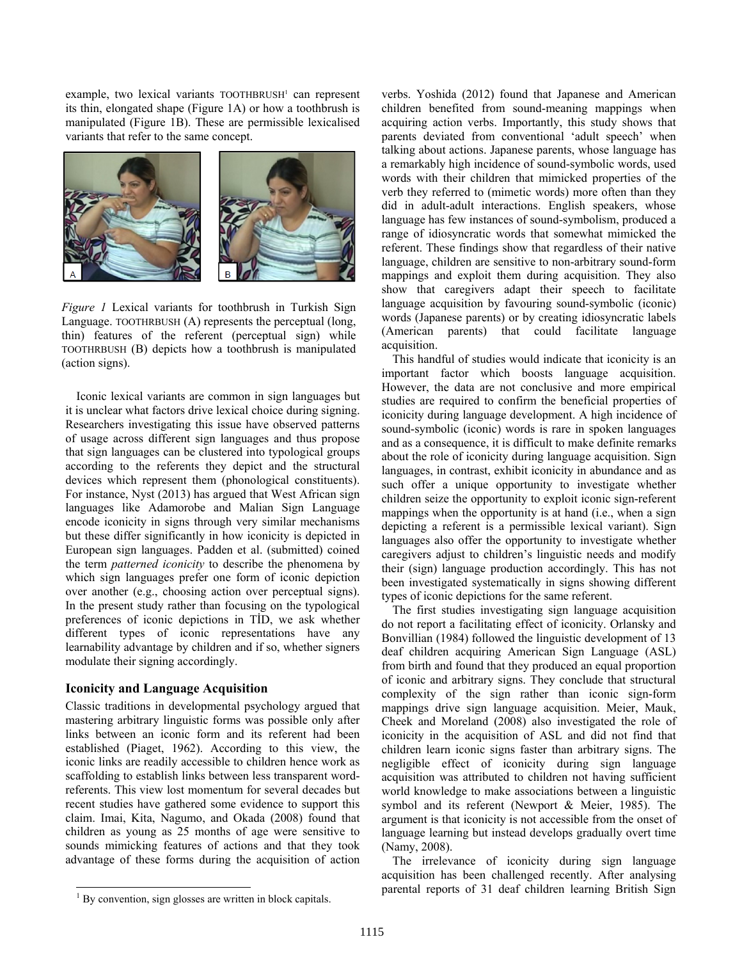example, two lexical variants TOOTHBRUSH<sup>1</sup> can represent its thin, elongated shape (Figure 1A) or how a toothbrush is manipulated (Figure 1B). These are permissible lexicalised variants that refer to the same concept.



*Figure 1* Lexical variants for toothbrush in Turkish Sign Language. TOOTHRBUSH (A) represents the perceptual (long, thin) features of the referent (perceptual sign) while TOOTHRBUSH (B) depicts how a toothbrush is manipulated (action signs).

Iconic lexical variants are common in sign languages but it is unclear what factors drive lexical choice during signing. Researchers investigating this issue have observed patterns of usage across different sign languages and thus propose that sign languages can be clustered into typological groups according to the referents they depict and the structural devices which represent them (phonological constituents). For instance, Nyst (2013) has argued that West African sign languages like Adamorobe and Malian Sign Language encode iconicity in signs through very similar mechanisms but these differ significantly in how iconicity is depicted in European sign languages. Padden et al. (submitted) coined the term *patterned iconicity* to describe the phenomena by which sign languages prefer one form of iconic depiction over another (e.g., choosing action over perceptual signs). In the present study rather than focusing on the typological preferences of iconic depictions in TİD, we ask whether different types of iconic representations have any learnability advantage by children and if so, whether signers modulate their signing accordingly.

### **Iconicity and Language Acquisition**

 $\overline{a}$ 

Classic traditions in developmental psychology argued that mastering arbitrary linguistic forms was possible only after links between an iconic form and its referent had been established (Piaget, 1962). According to this view, the iconic links are readily accessible to children hence work as scaffolding to establish links between less transparent wordreferents. This view lost momentum for several decades but recent studies have gathered some evidence to support this claim. Imai, Kita, Nagumo, and Okada (2008) found that children as young as 25 months of age were sensitive to sounds mimicking features of actions and that they took advantage of these forms during the acquisition of action

verbs. Yoshida (2012) found that Japanese and American children benefited from sound-meaning mappings when acquiring action verbs. Importantly, this study shows that parents deviated from conventional 'adult speech' when talking about actions. Japanese parents, whose language has a remarkably high incidence of sound-symbolic words, used words with their children that mimicked properties of the verb they referred to (mimetic words) more often than they did in adult-adult interactions. English speakers, whose language has few instances of sound-symbolism, produced a range of idiosyncratic words that somewhat mimicked the referent. These findings show that regardless of their native language, children are sensitive to non-arbitrary sound-form mappings and exploit them during acquisition. They also show that caregivers adapt their speech to facilitate language acquisition by favouring sound-symbolic (iconic) words (Japanese parents) or by creating idiosyncratic labels (American parents) that could facilitate language acquisition.

This handful of studies would indicate that iconicity is an important factor which boosts language acquisition. However, the data are not conclusive and more empirical studies are required to confirm the beneficial properties of iconicity during language development. A high incidence of sound-symbolic (iconic) words is rare in spoken languages and as a consequence, it is difficult to make definite remarks about the role of iconicity during language acquisition. Sign languages, in contrast, exhibit iconicity in abundance and as such offer a unique opportunity to investigate whether children seize the opportunity to exploit iconic sign-referent mappings when the opportunity is at hand (i.e., when a sign depicting a referent is a permissible lexical variant). Sign languages also offer the opportunity to investigate whether caregivers adjust to children's linguistic needs and modify their (sign) language production accordingly. This has not been investigated systematically in signs showing different types of iconic depictions for the same referent.

The first studies investigating sign language acquisition do not report a facilitating effect of iconicity. Orlansky and Bonvillian (1984) followed the linguistic development of 13 deaf children acquiring American Sign Language (ASL) from birth and found that they produced an equal proportion of iconic and arbitrary signs. They conclude that structural complexity of the sign rather than iconic sign-form mappings drive sign language acquisition. Meier, Mauk, Cheek and Moreland (2008) also investigated the role of iconicity in the acquisition of ASL and did not find that children learn iconic signs faster than arbitrary signs. The negligible effect of iconicity during sign language acquisition was attributed to children not having sufficient world knowledge to make associations between a linguistic symbol and its referent (Newport & Meier, 1985). The argument is that iconicity is not accessible from the onset of language learning but instead develops gradually overt time (Namy, 2008).

The irrelevance of iconicity during sign language acquisition has been challenged recently. After analysing parental reports of 31 deaf children learning British Sign

<sup>&</sup>lt;sup>1</sup> By convention, sign glosses are written in block capitals.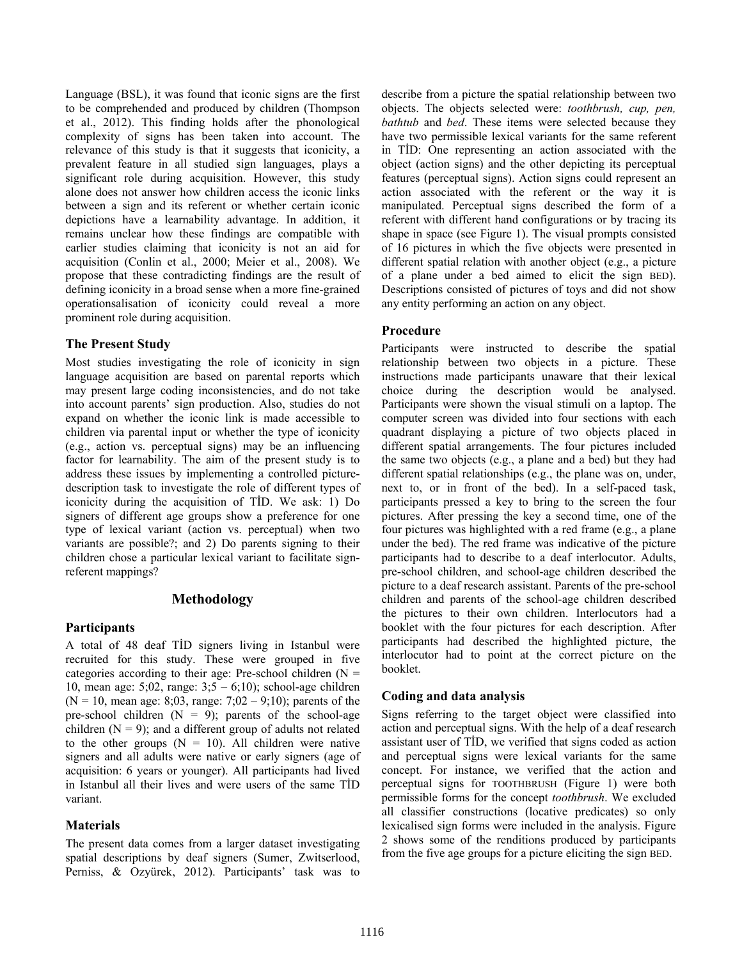Language (BSL), it was found that iconic signs are the first to be comprehended and produced by children (Thompson et al., 2012). This finding holds after the phonological complexity of signs has been taken into account. The relevance of this study is that it suggests that iconicity, a prevalent feature in all studied sign languages, plays a significant role during acquisition. However, this study alone does not answer how children access the iconic links between a sign and its referent or whether certain iconic depictions have a learnability advantage. In addition, it remains unclear how these findings are compatible with earlier studies claiming that iconicity is not an aid for acquisition (Conlin et al., 2000; Meier et al., 2008). We propose that these contradicting findings are the result of defining iconicity in a broad sense when a more fine-grained operationsalisation of iconicity could reveal a more prominent role during acquisition.

### **The Present Study**

Most studies investigating the role of iconicity in sign language acquisition are based on parental reports which may present large coding inconsistencies, and do not take into account parents' sign production. Also, studies do not expand on whether the iconic link is made accessible to children via parental input or whether the type of iconicity (e.g., action vs. perceptual signs) may be an influencing factor for learnability. The aim of the present study is to address these issues by implementing a controlled picturedescription task to investigate the role of different types of iconicity during the acquisition of TİD. We ask: 1) Do signers of different age groups show a preference for one type of lexical variant (action vs. perceptual) when two variants are possible?; and 2) Do parents signing to their children chose a particular lexical variant to facilitate signreferent mappings?

# **Methodology**

## **Participants**

A total of 48 deaf TİD signers living in Istanbul were recruited for this study. These were grouped in five categories according to their age: Pre-school children  $(N =$ 10, mean age:  $5;02$ , range:  $3;5 - 6;10$ ; school-age children  $(N = 10$ , mean age: 8;03, range: 7;02 – 9;10); parents of the pre-school children  $(N = 9)$ ; parents of the school-age children  $(N = 9)$ ; and a different group of adults not related to the other groups  $(N = 10)$ . All children were native signers and all adults were native or early signers (age of acquisition: 6 years or younger). All participants had lived in Istanbul all their lives and were users of the same TİD variant.

## **Materials**

The present data comes from a larger dataset investigating spatial descriptions by deaf signers (Sumer, Zwitserlood, Perniss, & Ozyürek, 2012). Participants' task was to

describe from a picture the spatial relationship between two objects. The objects selected were: *toothbrush, cup, pen, bathtub* and *bed*. These items were selected because they have two permissible lexical variants for the same referent in TİD: One representing an action associated with the object (action signs) and the other depicting its perceptual features (perceptual signs). Action signs could represent an action associated with the referent or the way it is manipulated. Perceptual signs described the form of a referent with different hand configurations or by tracing its shape in space (see Figure 1). The visual prompts consisted of 16 pictures in which the five objects were presented in different spatial relation with another object (e.g., a picture of a plane under a bed aimed to elicit the sign BED). Descriptions consisted of pictures of toys and did not show any entity performing an action on any object.

## **Procedure**

Participants were instructed to describe the spatial relationship between two objects in a picture. These instructions made participants unaware that their lexical choice during the description would be analysed. Participants were shown the visual stimuli on a laptop. The computer screen was divided into four sections with each quadrant displaying a picture of two objects placed in different spatial arrangements. The four pictures included the same two objects (e.g., a plane and a bed) but they had different spatial relationships (e.g., the plane was on, under, next to, or in front of the bed). In a self-paced task, participants pressed a key to bring to the screen the four pictures. After pressing the key a second time, one of the four pictures was highlighted with a red frame (e.g., a plane under the bed). The red frame was indicative of the picture participants had to describe to a deaf interlocutor. Adults, pre-school children, and school-age children described the picture to a deaf research assistant. Parents of the pre-school children and parents of the school-age children described the pictures to their own children. Interlocutors had a booklet with the four pictures for each description. After participants had described the highlighted picture, the interlocutor had to point at the correct picture on the booklet.

## **Coding and data analysis**

Signs referring to the target object were classified into action and perceptual signs. With the help of a deaf research assistant user of TİD, we verified that signs coded as action and perceptual signs were lexical variants for the same concept. For instance, we verified that the action and perceptual signs for TOOTHBRUSH (Figure 1) were both permissible forms for the concept *toothbrush*. We excluded all classifier constructions (locative predicates) so only lexicalised sign forms were included in the analysis. Figure 2 shows some of the renditions produced by participants from the five age groups for a picture eliciting the sign BED.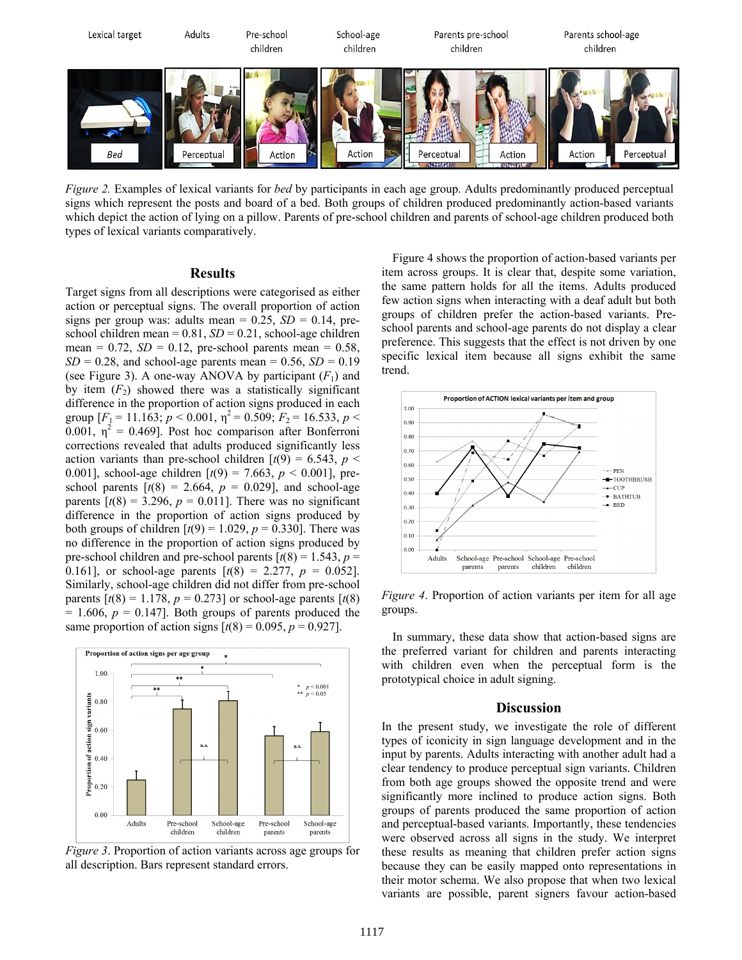

*Figure 2.* Examples of lexical variants for *bed* by participants in each age group. Adults predominantly produced perceptual signs which represent the posts and board of a bed. Both groups of children produced predominantly action-based variants which depict the action of lying on a pillow. Parents of pre-school children and parents of school-age children produced both types of lexical variants comparatively.

#### **Results**

Target signs from all descriptions were categorised as either action or perceptual signs. The overall proportion of action signs per group was: adults mean =  $0.25$ ,  $SD = 0.14$ , preschool children mean =  $0.81$ ,  $SD = 0.21$ , school-age children mean =  $0.72$ ,  $SD = 0.12$ , pre-school parents mean =  $0.58$ ,  $SD = 0.28$ , and school-age parents mean = 0.56,  $SD = 0.19$ (see Figure 3). A one-way ANOVA by participant  $(F_1)$  and by item  $(F_2)$  showed there was a statistically significant difference in the proportion of action signs produced in each group  $[F_1 = 11.163; p < 0.001, \eta^2 = 0.509; F_2 = 16.533, p <$ 0.001,  $\eta^2 = 0.469$ ]. Post hoc comparison after Bonferroni corrections revealed that adults produced significantly less action variants than pre-school children  $[t(9) = 6.543, p <$ 0.001], school-age children [*t*(9) = 7.663, *p* < 0.001], preschool parents  $[t(8) = 2.664, p = 0.029]$ , and school-age parents  $[t(8) = 3.296, p = 0.011]$ . There was no significant difference in the proportion of action signs produced by both groups of children  $[t(9) = 1.029, p = 0.330]$ . There was no difference in the proportion of action signs produced by pre-school children and pre-school parents  $\lceil t(8) \rceil = 1.543$ ,  $p =$ 0.161], or school-age parents  $[t(8) = 2.277, p = 0.052]$ . Similarly, school-age children did not differ from pre-school parents  $[t(8) = 1.178, p = 0.273]$  or school-age parents  $[t(8)$  $= 1.606$ ,  $p = 0.147$ . Both groups of parents produced the same proportion of action signs  $[t(8) = 0.095, p = 0.927]$ .



*Figure 3*. Proportion of action variants across age groups for all description. Bars represent standard errors.

Figure 4 shows the proportion of action-based variants per item across groups. It is clear that, despite some variation, the same pattern holds for all the items. Adults produced few action signs when interacting with a deaf adult but both groups of children prefer the action-based variants. Preschool parents and school-age parents do not display a clear preference. This suggests that the effect is not driven by one specific lexical item because all signs exhibit the same trend.



*Figure 4*. Proportion of action variants per item for all age groups.

In summary, these data show that action-based signs are the preferred variant for children and parents interacting with children even when the perceptual form is the prototypical choice in adult signing.

#### **Discussion**

In the present study, we investigate the role of different types of iconicity in sign language development and in the input by parents. Adults interacting with another adult had a clear tendency to produce perceptual sign variants. Children from both age groups showed the opposite trend and were significantly more inclined to produce action signs. Both groups of parents produced the same proportion of action and perceptual-based variants. Importantly, these tendencies were observed across all signs in the study. We interpret these results as meaning that children prefer action signs because they can be easily mapped onto representations in their motor schema. We also propose that when two lexical variants are possible, parent signers favour action-based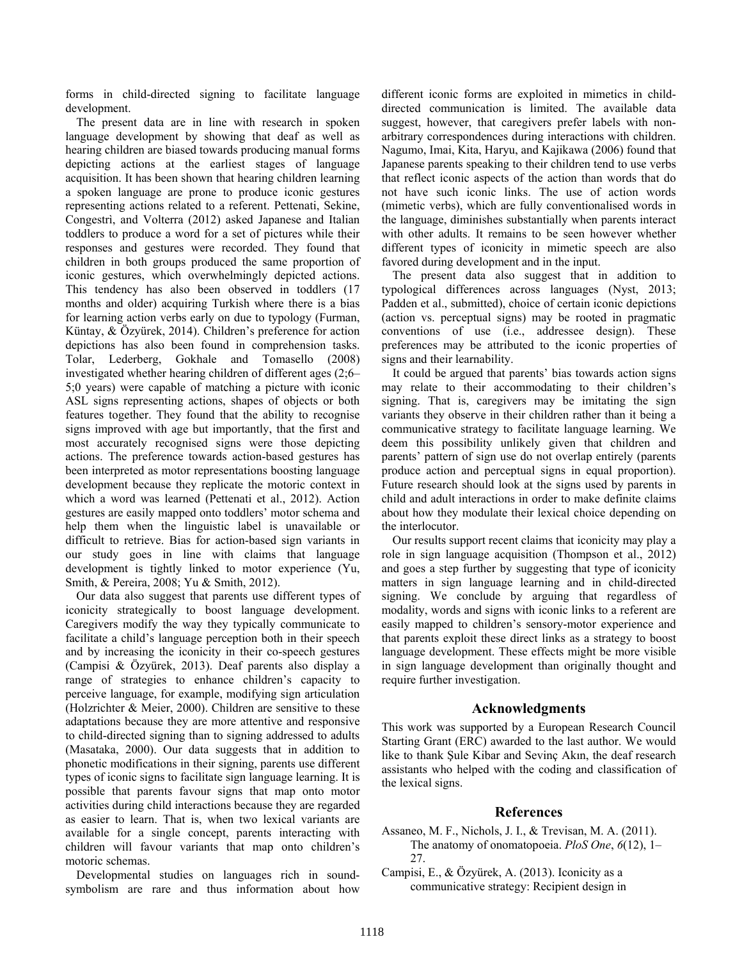forms in child-directed signing to facilitate language development.

The present data are in line with research in spoken language development by showing that deaf as well as hearing children are biased towards producing manual forms depicting actions at the earliest stages of language acquisition. It has been shown that hearing children learning a spoken language are prone to produce iconic gestures representing actions related to a referent. Pettenati, Sekine, Congestrì, and Volterra (2012) asked Japanese and Italian toddlers to produce a word for a set of pictures while their responses and gestures were recorded. They found that children in both groups produced the same proportion of iconic gestures, which overwhelmingly depicted actions. This tendency has also been observed in toddlers (17 months and older) acquiring Turkish where there is a bias for learning action verbs early on due to typology (Furman, Küntay, & Özyürek, 2014). Children's preference for action depictions has also been found in comprehension tasks. Tolar, Lederberg, Gokhale and Tomasello (2008) investigated whether hearing children of different ages (2;6– 5;0 years) were capable of matching a picture with iconic ASL signs representing actions, shapes of objects or both features together. They found that the ability to recognise signs improved with age but importantly, that the first and most accurately recognised signs were those depicting actions. The preference towards action-based gestures has been interpreted as motor representations boosting language development because they replicate the motoric context in which a word was learned (Pettenati et al., 2012). Action gestures are easily mapped onto toddlers' motor schema and help them when the linguistic label is unavailable or difficult to retrieve. Bias for action-based sign variants in our study goes in line with claims that language development is tightly linked to motor experience (Yu, Smith, & Pereira, 2008; Yu & Smith, 2012).

Our data also suggest that parents use different types of iconicity strategically to boost language development. Caregivers modify the way they typically communicate to facilitate a child's language perception both in their speech and by increasing the iconicity in their co-speech gestures (Campisi & Özyürek, 2013). Deaf parents also display a range of strategies to enhance children's capacity to perceive language, for example, modifying sign articulation (Holzrichter & Meier, 2000). Children are sensitive to these adaptations because they are more attentive and responsive to child-directed signing than to signing addressed to adults (Masataka, 2000). Our data suggests that in addition to phonetic modifications in their signing, parents use different types of iconic signs to facilitate sign language learning. It is possible that parents favour signs that map onto motor activities during child interactions because they are regarded as easier to learn. That is, when two lexical variants are available for a single concept, parents interacting with children will favour variants that map onto children's motoric schemas.

Developmental studies on languages rich in soundsymbolism are rare and thus information about how different iconic forms are exploited in mimetics in childdirected communication is limited. The available data suggest, however, that caregivers prefer labels with nonarbitrary correspondences during interactions with children. Nagumo, Imai, Kita, Haryu, and Kajikawa (2006) found that Japanese parents speaking to their children tend to use verbs that reflect iconic aspects of the action than words that do not have such iconic links. The use of action words (mimetic verbs), which are fully conventionalised words in the language, diminishes substantially when parents interact with other adults. It remains to be seen however whether different types of iconicity in mimetic speech are also favored during development and in the input.

The present data also suggest that in addition to typological differences across languages (Nyst, 2013; Padden et al., submitted), choice of certain iconic depictions (action vs. perceptual signs) may be rooted in pragmatic conventions of use (i.e., addressee design). These preferences may be attributed to the iconic properties of signs and their learnability.

It could be argued that parents' bias towards action signs may relate to their accommodating to their children's signing. That is, caregivers may be imitating the sign variants they observe in their children rather than it being a communicative strategy to facilitate language learning. We deem this possibility unlikely given that children and parents' pattern of sign use do not overlap entirely (parents produce action and perceptual signs in equal proportion). Future research should look at the signs used by parents in child and adult interactions in order to make definite claims about how they modulate their lexical choice depending on the interlocutor.

Our results support recent claims that iconicity may play a role in sign language acquisition (Thompson et al., 2012) and goes a step further by suggesting that type of iconicity matters in sign language learning and in child-directed signing. We conclude by arguing that regardless of modality, words and signs with iconic links to a referent are easily mapped to children's sensory-motor experience and that parents exploit these direct links as a strategy to boost language development. These effects might be more visible in sign language development than originally thought and require further investigation.

## **Acknowledgments**

This work was supported by a European Research Council Starting Grant (ERC) awarded to the last author. We would like to thank Şule Kibar and Sevinç Akın, the deaf research assistants who helped with the coding and classification of the lexical signs.

### **References**

- Assaneo, M. F., Nichols, J. I., & Trevisan, M. A. (2011). The anatomy of onomatopoeia. *PloS One*, *6*(12), 1–  $27.$
- Campisi, E., & Özyürek, A. (2013). Iconicity as a communicative strategy: Recipient design in